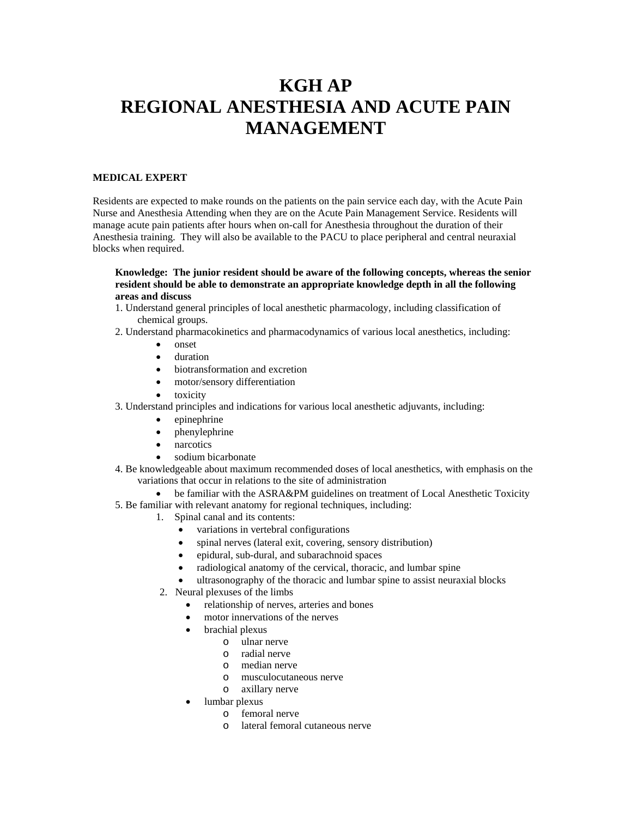# **KGH AP REGIONAL ANESTHESIA AND ACUTE PAIN MANAGEMENT**

## **MEDICAL EXPERT**

Residents are expected to make rounds on the patients on the pain service each day, with the Acute Pain Nurse and Anesthesia Attending when they are on the Acute Pain Management Service. Residents will manage acute pain patients after hours when on-call for Anesthesia throughout the duration of their Anesthesia training. They will also be available to the PACU to place peripheral and central neuraxial blocks when required.

## **Knowledge: The junior resident should be aware of the following concepts, whereas the senior resident should be able to demonstrate an appropriate knowledge depth in all the following areas and discuss**

- 1. Understand general principles of local anesthetic pharmacology, including classification of chemical groups.
- 2. Understand pharmacokinetics and pharmacodynamics of various local anesthetics, including:
	- onset
	- duration
	- biotransformation and excretion
	- motor/sensory differentiation
	- toxicity
- 3. Understand principles and indications for various local anesthetic adjuvants, including:
	- epinephrine
		- phenylephrine
		- narcotics
	- sodium bicarbonate
- 4. Be knowledgeable about maximum recommended doses of local anesthetics, with emphasis on the variations that occur in relations to the site of administration
	- be familiar with the ASRA&PM guidelines on treatment of Local Anesthetic Toxicity
- 5. Be familiar with relevant anatomy for regional techniques, including:
	- 1. Spinal canal and its contents:
		- variations in vertebral configurations
		- spinal nerves (lateral exit, covering, sensory distribution)
		- epidural, sub-dural, and subarachnoid spaces
		- radiological anatomy of the cervical, thoracic, and lumbar spine
		- ultrasonography of the thoracic and lumbar spine to assist neuraxial blocks
	- 2. Neural plexuses of the limbs
		- relationship of nerves, arteries and bones
		- motor innervations of the nerves
		- brachial plexus
			- o ulnar nerve
			- o radial nerve
			- o median nerve
			- o musculocutaneous nerve
			- o axillary nerve
		- lumbar plexus
			- o femoral nerve
			- o lateral femoral cutaneous nerve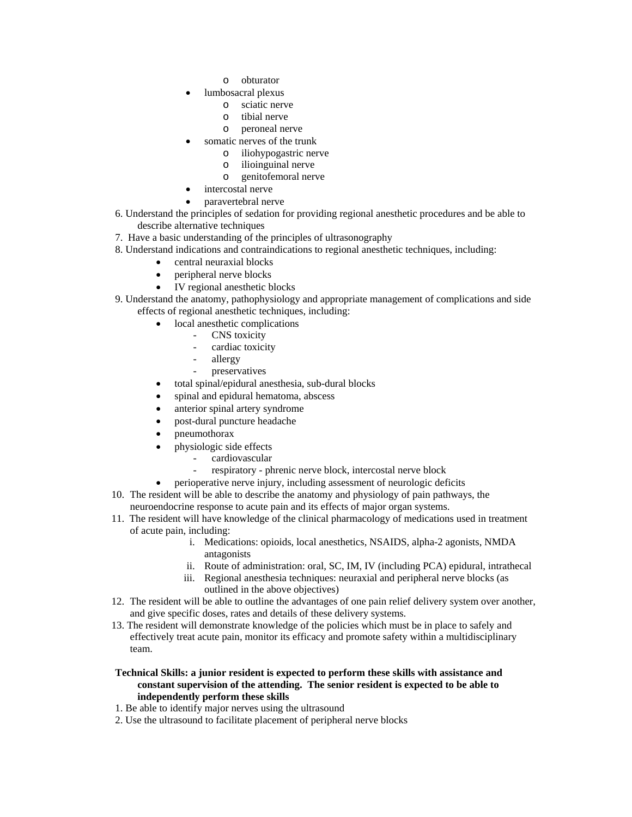- o obturator
- lumbosacral plexus
	- o sciatic nerve
	- o tibial nerve
	- o peroneal nerve
- somatic nerves of the trunk
	- o iliohypogastric nerve
	- o ilioinguinal nerve
	- o genitofemoral nerve
- intercostal nerve
- paravertebral nerve
- 6. Understand the principles of sedation for providing regional anesthetic procedures and be able to describe alternative techniques
- 7. Have a basic understanding of the principles of ultrasonography
- 8. Understand indications and contraindications to regional anesthetic techniques, including:
	- central neuraxial blocks
	- peripheral nerve blocks
	- IV regional anesthetic blocks
- 9. Understand the anatomy, pathophysiology and appropriate management of complications and side effects of regional anesthetic techniques, including:
	- local anesthetic complications
		- CNS toxicity
			- cardiac toxicity
			- allergy
			- preservatives
	- total spinal/epidural anesthesia, sub-dural blocks
	- spinal and epidural hematoma, abscess
	- anterior spinal artery syndrome
	- post-dural puncture headache
	- pneumothorax
	- physiologic side effects
		- cardiovascular
		- respiratory phrenic nerve block, intercostal nerve block
	- perioperative nerve injury, including assessment of neurologic deficits
- 10. The resident will be able to describe the anatomy and physiology of pain pathways, the neuroendocrine response to acute pain and its effects of major organ systems.
- 11. The resident will have knowledge of the clinical pharmacology of medications used in treatment of acute pain, including:
	- i. Medications: opioids, local anesthetics, NSAIDS, alpha-2 agonists, NMDA antagonists
	- ii. Route of administration: oral, SC, IM, IV (including PCA) epidural, intrathecal
	- iii. Regional anesthesia techniques: neuraxial and peripheral nerve blocks (as outlined in the above objectives)
- 12. The resident will be able to outline the advantages of one pain relief delivery system over another, and give specific doses, rates and details of these delivery systems.
- 13. The resident will demonstrate knowledge of the policies which must be in place to safely and effectively treat acute pain, monitor its efficacy and promote safety within a multidisciplinary team.

## **Technical Skills: a junior resident is expected to perform these skills with assistance and constant supervision of the attending. The senior resident is expected to be able to independently perform these skills**

- 1. Be able to identify major nerves using the ultrasound
- 2. Use the ultrasound to facilitate placement of peripheral nerve blocks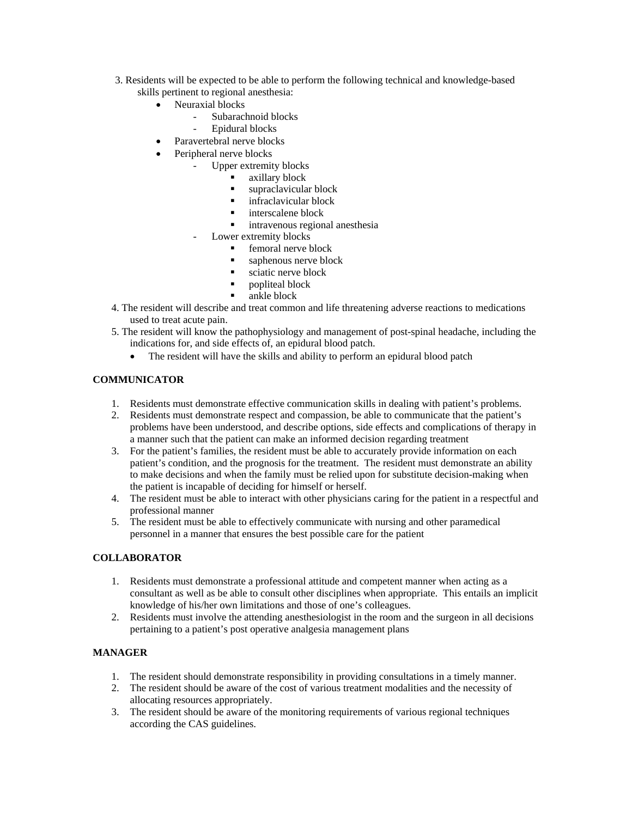- 3. Residents will be expected to be able to perform the following technical and knowledge-based skills pertinent to regional anesthesia:
	- Neuraxial blocks
		- Subarachnoid blocks
			- Epidural blocks
	- Paravertebral nerve blocks
	- Peripheral nerve blocks
		- Upper extremity blocks
			- axillary block
			- supraclavicular block
			- **infraclavicular block**
			- **interscalene block**<br>**intravenous region**
			- intravenous regional anesthesia
		- Lower extremity blocks
			- femoral nerve block
			- saphenous nerve block
			- sciatic nerve block
			- **•** popliteal block
			- **ankle block**
- 4. The resident will describe and treat common and life threatening adverse reactions to medications used to treat acute pain.
- 5. The resident will know the pathophysiology and management of post-spinal headache, including the indications for, and side effects of, an epidural blood patch.
	- The resident will have the skills and ability to perform an epidural blood patch

## **COMMUNICATOR**

- 1. Residents must demonstrate effective communication skills in dealing with patient's problems.
- 2. Residents must demonstrate respect and compassion, be able to communicate that the patient's problems have been understood, and describe options, side effects and complications of therapy in a manner such that the patient can make an informed decision regarding treatment
- 3. For the patient's families, the resident must be able to accurately provide information on each patient's condition, and the prognosis for the treatment. The resident must demonstrate an ability to make decisions and when the family must be relied upon for substitute decision-making when the patient is incapable of deciding for himself or herself.
- 4. The resident must be able to interact with other physicians caring for the patient in a respectful and professional manner
- 5. The resident must be able to effectively communicate with nursing and other paramedical personnel in a manner that ensures the best possible care for the patient

## **COLLABORATOR**

- 1. Residents must demonstrate a professional attitude and competent manner when acting as a consultant as well as be able to consult other disciplines when appropriate. This entails an implicit knowledge of his/her own limitations and those of one's colleagues.
- 2. Residents must involve the attending anesthesiologist in the room and the surgeon in all decisions pertaining to a patient's post operative analgesia management plans

## **MANAGER**

- 1. The resident should demonstrate responsibility in providing consultations in a timely manner.
- 2. The resident should be aware of the cost of various treatment modalities and the necessity of allocating resources appropriately.
- 3. The resident should be aware of the monitoring requirements of various regional techniques according the CAS guidelines.